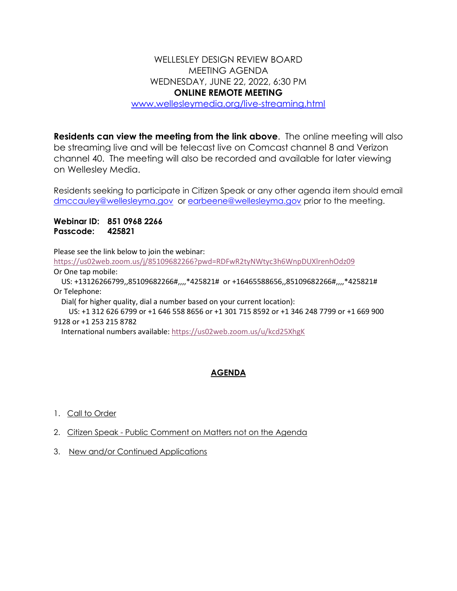## WELLESLEY DESIGN REVIEW BOARD MEETING AGENDA WEDNESDAY, JUNE 22, 2022, 6:30 PM **ONLINE REMOTE MEETING**

[www.wellesleymedia.org/live-streaming.html](http://www.wellesleymedia.org/live-streaming.html)

**Residents can view the meeting from the link above**. The online meeting will also be streaming live and will be telecast live on Comcast channel 8 and Verizon channel 40. The meeting will also be recorded and available for later viewing on Wellesley Media.

Residents seeking to participate in Citizen Speak or any other agenda item should email [dmccauley@wellesleyma.gov](mailto:dmccauley@wellesleyma.gov) or [earbeene@wellesleyma.gov](mailto:earbeene@wellesleyma.gov) prior to the meeting.

**Webinar ID: 851 0968 2266 Passcode: 425821**

Please see the link below to join the webinar:

<https://us02web.zoom.us/j/85109682266?pwd=RDFwR2tyNWtyc3h6WnpDUXlrenhOdz09> Or One tap mobile:

 US: +13126266799,,85109682266#,,,,\*425821# or +16465588656,,85109682266#,,,,\*425821# Or Telephone:

Dial( for higher quality, dial a number based on your current location):

 US: +1 312 626 6799 or +1 646 558 8656 or +1 301 715 8592 or +1 346 248 7799 or +1 669 900 9128 or +1 253 215 8782

International numbers available: <https://us02web.zoom.us/u/kcd25XhgK>

## **AGENDA**

- 1. Call to Order
- 2. Citizen Speak Public Comment on Matters not on the Agenda
- 3. New and/or Continued Applications